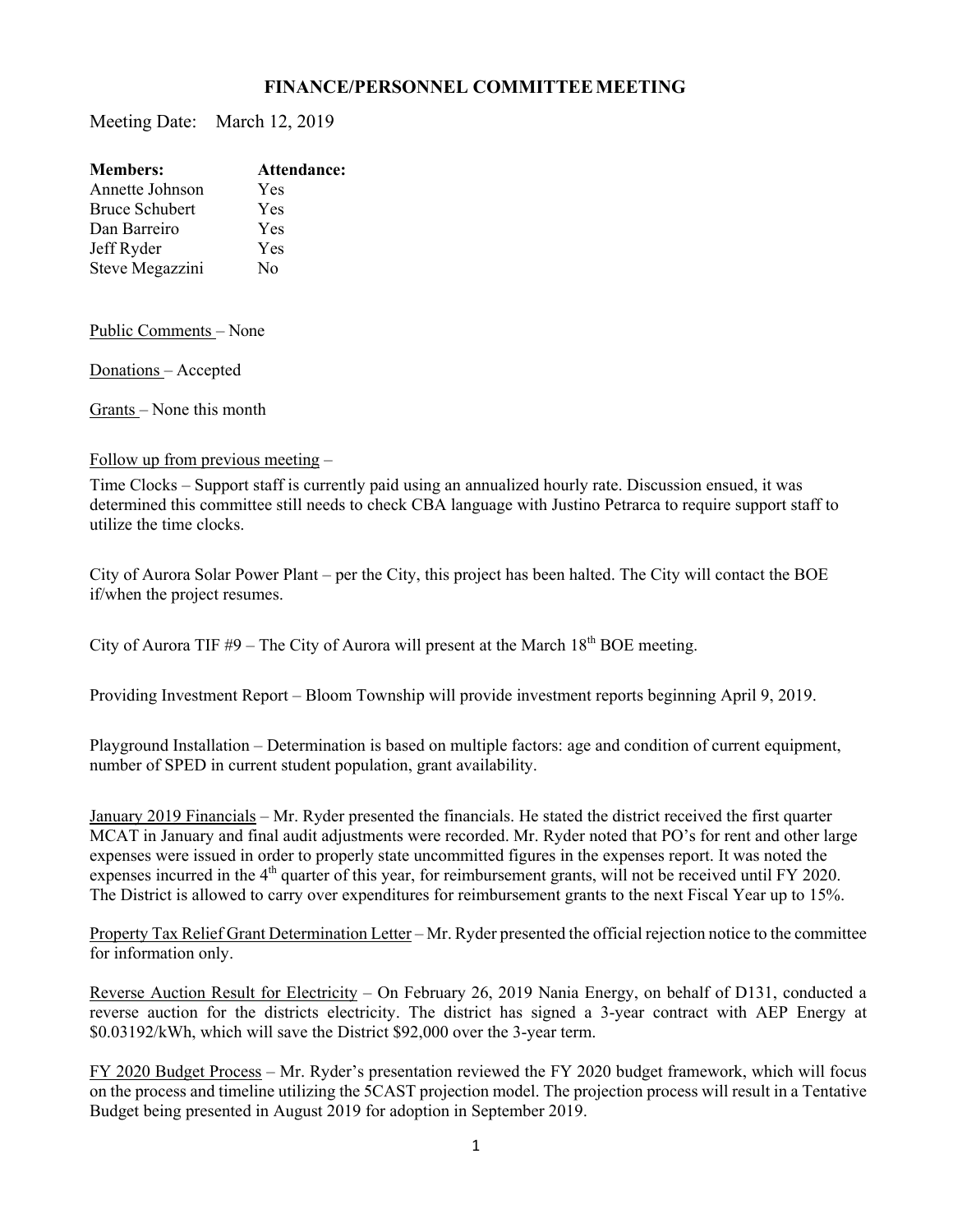## **FINANCE/PERSONNEL COMMITTEE MEETING**

Meeting Date: March 12, 2019

| <b>Members:</b>       | Attendance: |
|-----------------------|-------------|
| Annette Johnson       | Yes         |
| <b>Bruce Schubert</b> | Yes         |
| Dan Barreiro          | Yes         |
| Jeff Ryder            | Yes         |
| Steve Megazzini       | No          |
|                       |             |

Public Comments – None

Donations – Accepted

Grants – None this month

## Follow up from previous meeting –

Time Clocks – Support staff is currently paid using an annualized hourly rate. Discussion ensued, it was determined this committee still needs to check CBA language with Justino Petrarca to require support staff to utilize the time clocks.

City of Aurora Solar Power Plant – per the City, this project has been halted. The City will contact the BOE if/when the project resumes.

City of Aurora TIF  $#9$  – The City of Aurora will present at the March 18<sup>th</sup> BOE meeting.

Providing Investment Report – Bloom Township will provide investment reports beginning April 9, 2019.

Playground Installation – Determination is based on multiple factors: age and condition of current equipment, number of SPED in current student population, grant availability.

January 2019 Financials – Mr. Ryder presented the financials. He stated the district received the first quarter MCAT in January and final audit adjustments were recorded. Mr. Ryder noted that PO's for rent and other large expenses were issued in order to properly state uncommitted figures in the expenses report. It was noted the expenses incurred in the 4<sup>th</sup> quarter of this year, for reimbursement grants, will not be received until FY 2020. The District is allowed to carry over expenditures for reimbursement grants to the next Fiscal Year up to 15%.

Property Tax Relief Grant Determination Letter – Mr. Ryder presented the official rejection notice to the committee for information only.

Reverse Auction Result for Electricity – On February 26, 2019 Nania Energy, on behalf of D131, conducted a reverse auction for the districts electricity. The district has signed a 3-year contract with AEP Energy at \$0.03192/kWh, which will save the District \$92,000 over the 3-year term.

FY 2020 Budget Process – Mr. Ryder's presentation reviewed the FY 2020 budget framework, which will focus on the process and timeline utilizing the 5CAST projection model. The projection process will result in a Tentative Budget being presented in August 2019 for adoption in September 2019.